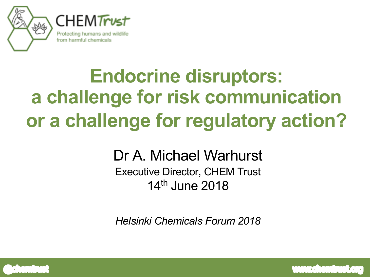

## **Endocrine disruptors: a challenge for risk communication or a challenge for regulatory action?**

#### Dr A. Michael Warhurst Executive Director, CHEM Trust 14th June 2018

*Helsinki Chemicals Forum 2018*



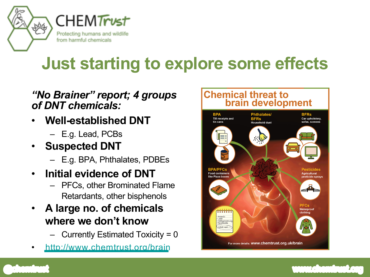

## **Just starting to explore some effects**

#### *"No Brainer" report; 4 groups of DNT chemicals:*

- **Well-established DNT**
	- E.g. Lead, PCBs
- **Suspected DNT**
	- E.g. BPA, Phthalates, PDBEs
- **Initial evidence of DNT**
	- PFCs, other Brominated Flame Retardants, other bisphenols
- **A large no. of chemicals where we don't know**
	- Currently Estimated Toxicity = 0
- <http://www.chemtrust.org/brain>



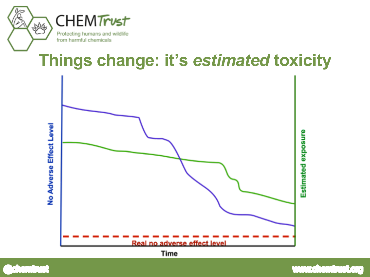

### **Things change: it's** *estimated* **toxicity**



Time

 $\sqrt{1-\frac{1}{2}}$ 

 $T_{\rm e}$ 

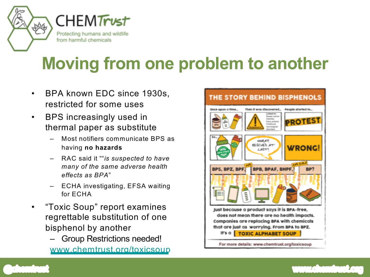

## **Moving from one problem to another**

- BPA known EDC since 1930s, restricted for some uses
- BPS increasingly used in thermal paper as substitute
	- Most notifiers communicate BPS as having **no hazards**
	- RAC said it ""*is suspected to have many of the same adverse health effects as BPA*"
	- ECHA investigating, EFSA waiting for ECHA
- "Toxic Soup" report examines regrettable substitution of one bisphenol by another
	- Group Restrictions needed! [www.chemtrust.org/toxicsoup](http://www.chemtrust.org/toxicsoup)



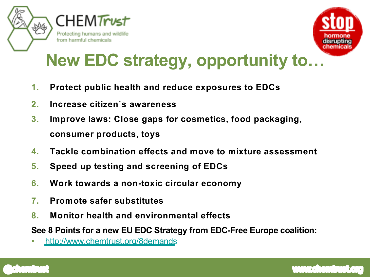



## **New EDC strategy, opportunity to…**

- **1. Protect public health and reduce exposures to EDCs**
- **2. Increase citizen`s awareness**
- **3. Improve laws: Close gaps for cosmetics, food packaging, consumer products, toys**
- **4. Tackle combination effects and move to mixture assessment**
- **5. Speed up testing and screening of EDCs**
- **6. Work towards a non-toxic circular economy**
- **7. Promote safer substitutes**
- **8. Monitor health and environmental effects**

**See 8 Points for a new EU EDC Strategy from EDC-Free Europe coalition:**

• <http://www.chemtrust.org/8demands>